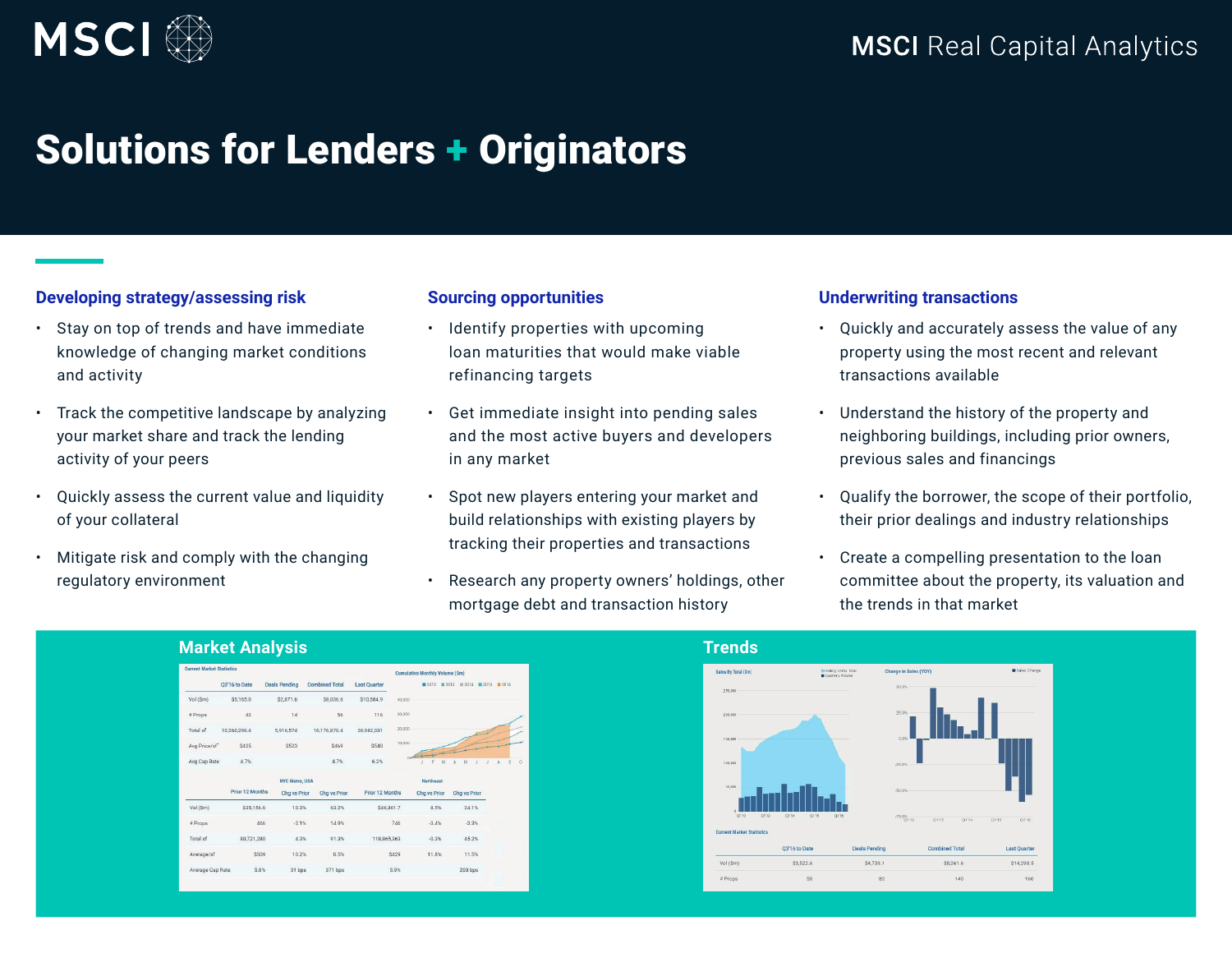

# Solutions for Lenders + Originators

## **Developing strategy/assessing risk**

- Stay on top of trends and have immediate knowledge of changing market conditions and activity
- Track the competitive landscape by analyzing your market share and track the lending activity of your peers
- Quickly assess the current value and liquidity of your collateral
- Mitigate risk and comply with the changing regulatory environment

#### **Sourcing opportunities**

- Identify properties with upcoming loan maturities that would make viable refinancing targets
- Get immediate insight into pending sales and the most active buyers and developers in any market
- Spot new players entering your market and build relationships with existing players by tracking their properties and transactions
- Research any property owners' holdings, other mortgage debt and transaction history

### **Underwriting transactions**

- Quickly and accurately assess the value of any property using the most recent and relevant transactions available
- Understand the history of the property and neighboring buildings, including prior owners, previous sales and financings
- Qualify the borrower, the scope of their portfolio, their prior dealings and industry relationships
- Create a compelling presentation to the loan committee about the property, its valuation and the trends in that market

|                                  | <b>Market Analysis</b>   |                       |                       |                     |                                       |                                    |       |  |
|----------------------------------|--------------------------|-----------------------|-----------------------|---------------------|---------------------------------------|------------------------------------|-------|--|
| <b>Current Market Statistics</b> |                          |                       |                       |                     | <b>Cumulative Monthly Volume (Sm)</b> |                                    |       |  |
|                                  | Q3'16 to Date            | <b>Deals Pending</b>  | <b>Combined Total</b> | <b>Last Quarter</b> |                                       | ■ 2012 ■ 2013 ■ 2014 ■ 2015 ■ 2016 |       |  |
| Vol (Sm)                         | \$5,165.0                | \$2,871.6             | \$8,036.6             | \$10,584.9          | 40,000                                |                                    |       |  |
| # Props                          | 42                       | 14                    | 56                    | 116                 | 30,000                                |                                    |       |  |
| Total sf                         | 10.260,296.4             | 5,916,574             | 16,176,870.4          | 26,982,031          | 20,000                                |                                    |       |  |
| Avg Price/sf                     | \$425                    | \$523                 | \$469                 | \$540               | 10,000                                |                                    |       |  |
| Avg Cap Rate                     | 4.7%                     |                       | 4.7%                  | 6.2%                | M                                     | M                                  | $S$ 0 |  |
|                                  |                          | <b>NYC Metro, USA</b> |                       |                     | <b>Northeast</b>                      |                                    |       |  |
|                                  | Prior 12 Months          | <b>Chg vs Prior</b>   | Chg vs Prior          | Prior 12 Months     | Chg vs Prior                          | Chg vs Prior                       |       |  |
| Vol (Sm)                         | \$35,156.6               | 10.3%                 | 63.2%                 | \$46,361.7          | 8.5%                                  | 24.1%                              |       |  |
| # Props                          | 466                      | $-2.1%$               | 14.9%                 |                     | $-3.4%$<br>746                        | $-3.3%$                            |       |  |
| Total sf                         | 80,721,280               | 4.3%                  | 91.3%                 | 118,865,363         | $-0.3%$                               | 45.2%                              |       |  |
| Average/sf                       | \$509                    | 10.2%                 | 0.5%                  | \$429               | 11.8%                                 | 11.5%                              |       |  |
|                                  | Average Cap Rate<br>5.8% | 31 bps                | 371 bps               | 5.9%                |                                       | 203 bps                            |       |  |